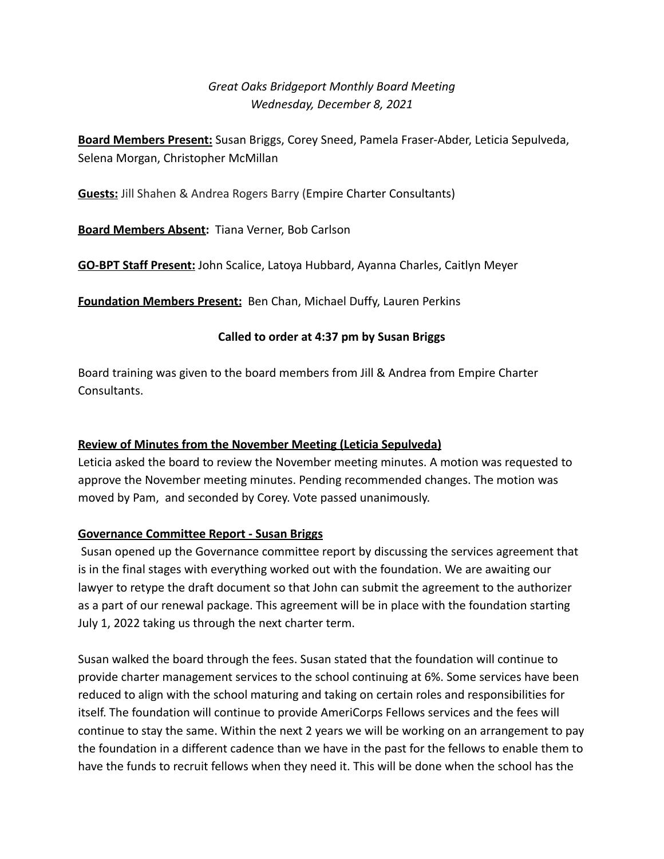# *Great Oaks Bridgeport Monthly Board Meeting Wednesday, December 8, 2021*

**Board Members Present:** Susan Briggs, Corey Sneed, Pamela Fraser-Abder, Leticia Sepulveda, Selena Morgan, Christopher McMillan

**Guests:** Jill Shahen & Andrea Rogers Barry (Empire Charter Consultants)

**Board Members Absent:** Tiana Verner, Bob Carlson

**GO-BPT Staff Present:** John Scalice, Latoya Hubbard, Ayanna Charles, Caitlyn Meyer

**Foundation Members Present:** Ben Chan, Michael Duffy, Lauren Perkins

#### **Called to order at 4:37 pm by Susan Briggs**

Board training was given to the board members from Jill & Andrea from Empire Charter Consultants.

#### **Review of Minutes from the November Meeting (Leticia Sepulveda)**

Leticia asked the board to review the November meeting minutes. A motion was requested to approve the November meeting minutes. Pending recommended changes. The motion was moved by Pam, and seconded by Corey. Vote passed unanimously.

#### **Governance Committee Report - Susan Briggs**

Susan opened up the Governance committee report by discussing the services agreement that is in the final stages with everything worked out with the foundation. We are awaiting our lawyer to retype the draft document so that John can submit the agreement to the authorizer as a part of our renewal package. This agreement will be in place with the foundation starting July 1, 2022 taking us through the next charter term.

Susan walked the board through the fees. Susan stated that the foundation will continue to provide charter management services to the school continuing at 6%. Some services have been reduced to align with the school maturing and taking on certain roles and responsibilities for itself. The foundation will continue to provide AmeriCorps Fellows services and the fees will continue to stay the same. Within the next 2 years we will be working on an arrangement to pay the foundation in a different cadence than we have in the past for the fellows to enable them to have the funds to recruit fellows when they need it. This will be done when the school has the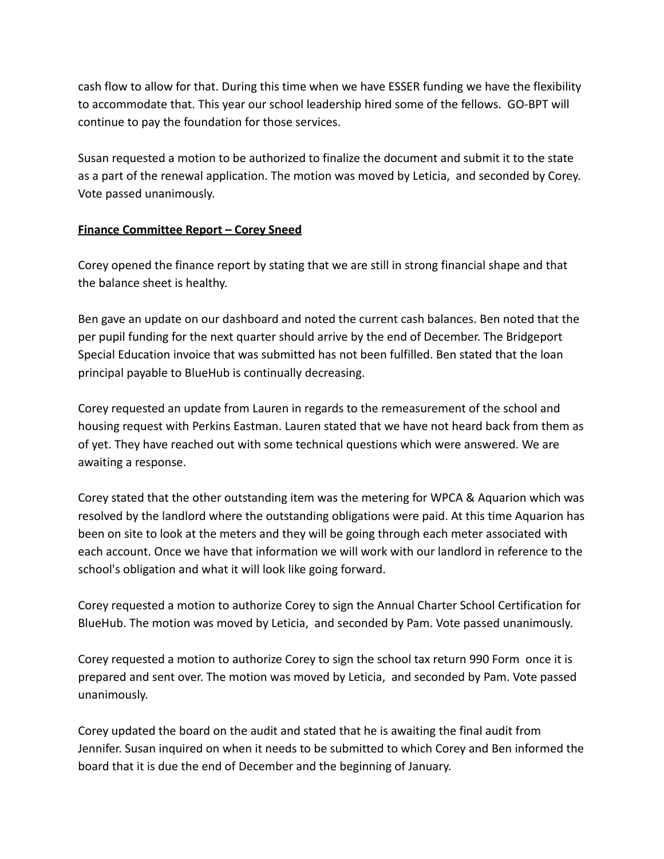cash flow to allow for that. During this time when we have ESSER funding we have the flexibility to accommodate that. This year our school leadership hired some of the fellows. GO-BPT will continue to pay the foundation for those services.

Susan requested a motion to be authorized to finalize the document and submit it to the state as a part of the renewal application. The motion was moved by Leticia, and seconded by Corey. Vote passed unanimously.

#### **Finance Committee Report – Corey Sneed**

Corey opened the finance report by stating that we are still in strong financial shape and that the balance sheet is healthy.

Ben gave an update on our dashboard and noted the current cash balances. Ben noted that the per pupil funding for the next quarter should arrive by the end of December. The Bridgeport Special Education invoice that was submitted has not been fulfilled. Ben stated that the loan principal payable to BlueHub is continually decreasing.

Corey requested an update from Lauren in regards to the remeasurement of the school and housing request with Perkins Eastman. Lauren stated that we have not heard back from them as of yet. They have reached out with some technical questions which were answered. We are awaiting a response.

Corey stated that the other outstanding item was the metering for WPCA & Aquarion which was resolved by the landlord where the outstanding obligations were paid. At this time Aquarion has been on site to look at the meters and they will be going through each meter associated with each account. Once we have that information we will work with our landlord in reference to the school's obligation and what it will look like going forward.

Corey requested a motion to authorize Corey to sign the Annual Charter School Certification for BlueHub. The motion was moved by Leticia, and seconded by Pam. Vote passed unanimously.

Corey requested a motion to authorize Corey to sign the school tax return 990 Form once it is prepared and sent over. The motion was moved by Leticia, and seconded by Pam. Vote passed unanimously.

Corey updated the board on the audit and stated that he is awaiting the final audit from Jennifer. Susan inquired on when it needs to be submitted to which Corey and Ben informed the board that it is due the end of December and the beginning of January.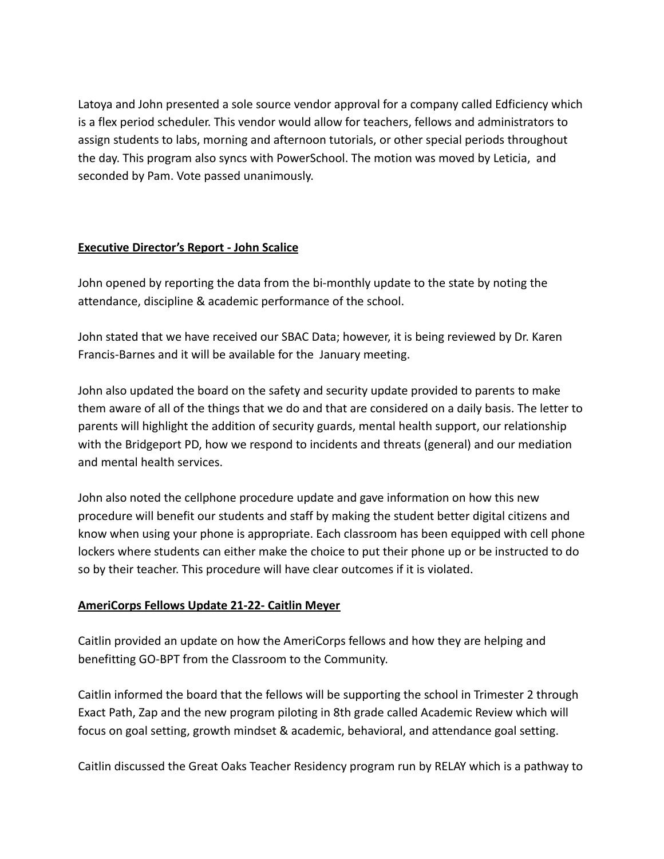Latoya and John presented a sole source vendor approval for a company called Edficiency which is a flex period scheduler. This vendor would allow for teachers, fellows and administrators to assign students to labs, morning and afternoon tutorials, or other special periods throughout the day. This program also syncs with PowerSchool. The motion was moved by Leticia, and seconded by Pam. Vote passed unanimously.

#### **Executive Director's Report - John Scalice**

John opened by reporting the data from the bi-monthly update to the state by noting the attendance, discipline & academic performance of the school.

John stated that we have received our SBAC Data; however, it is being reviewed by Dr. Karen Francis-Barnes and it will be available for the January meeting.

John also updated the board on the safety and security update provided to parents to make them aware of all of the things that we do and that are considered on a daily basis. The letter to parents will highlight the addition of security guards, mental health support, our relationship with the Bridgeport PD, how we respond to incidents and threats (general) and our mediation and mental health services.

John also noted the cellphone procedure update and gave information on how this new procedure will benefit our students and staff by making the student better digital citizens and know when using your phone is appropriate. Each classroom has been equipped with cell phone lockers where students can either make the choice to put their phone up or be instructed to do so by their teacher. This procedure will have clear outcomes if it is violated.

#### **AmeriCorps Fellows Update 21-22- Caitlin Meyer**

Caitlin provided an update on how the AmeriCorps fellows and how they are helping and benefitting GO-BPT from the Classroom to the Community.

Caitlin informed the board that the fellows will be supporting the school in Trimester 2 through Exact Path, Zap and the new program piloting in 8th grade called Academic Review which will focus on goal setting, growth mindset & academic, behavioral, and attendance goal setting.

Caitlin discussed the Great Oaks Teacher Residency program run by RELAY which is a pathway to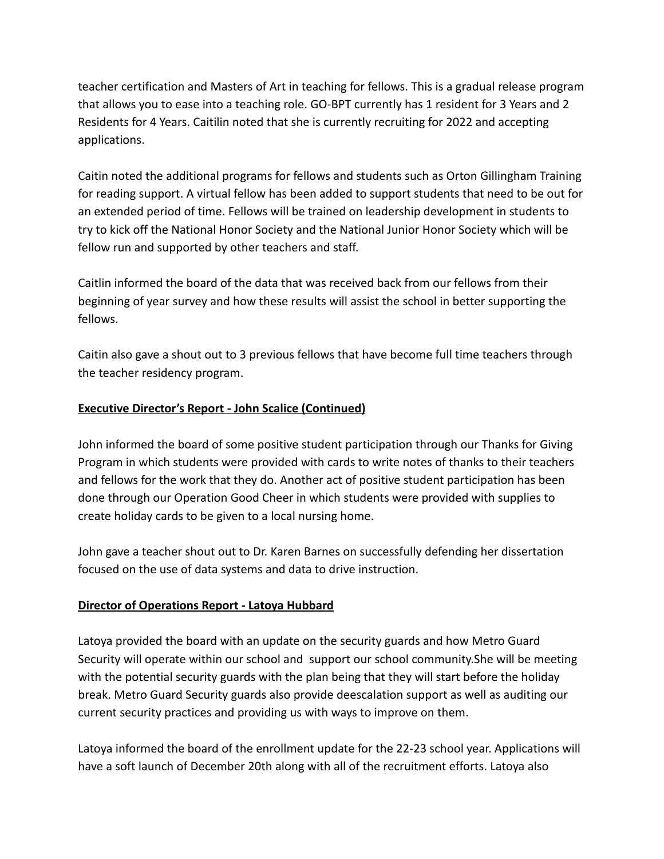teacher certification and Masters of Art in teaching for fellows. This is a gradual release program that allows you to ease into a teaching role. GO-BPT currently has 1 resident for 3 Years and 2 Residents for 4 Years. Caitilin noted that she is currently recruiting for 2022 and accepting applications.

Caitin noted the additional programs for fellows and students such as Orton Gillingham Training for reading support. A virtual fellow has been added to support students that need to be out for an extended period of time. Fellows will be trained on leadership development in students to try to kick off the National Honor Society and the National Junior Honor Society which will be fellow run and supported by other teachers and staff.

Caitlin informed the board of the data that was received back from our fellows from their beginning of year survey and how these results will assist the school in better supporting the fellows.

Caitin also gave a shout out to 3 previous fellows that have become full time teachers through the teacher residency program.

### **Executive Director's Report - John Scalice (Continued)**

John informed the board of some positive student participation through our Thanks for Giving Program in which students were provided with cards to write notes of thanks to their teachers and fellows for the work that they do. Another act of positive student participation has been done through our Operation Good Cheer in which students were provided with supplies to create holiday cards to be given to a local nursing home.

John gave a teacher shout out to Dr. Karen Barnes on successfully defending her dissertation focused on the use of data systems and data to drive instruction.

## **Director of Operations Report - Latoya Hubbard**

Latoya provided the board with an update on the security guards and how Metro Guard Security will operate within our school and support our school community.She will be meeting with the potential security guards with the plan being that they will start before the holiday break. Metro Guard Security guards also provide deescalation support as well as auditing our current security practices and providing us with ways to improve on them.

Latoya informed the board of the enrollment update for the 22-23 school year. Applications will have a soft launch of December 20th along with all of the recruitment efforts. Latoya also